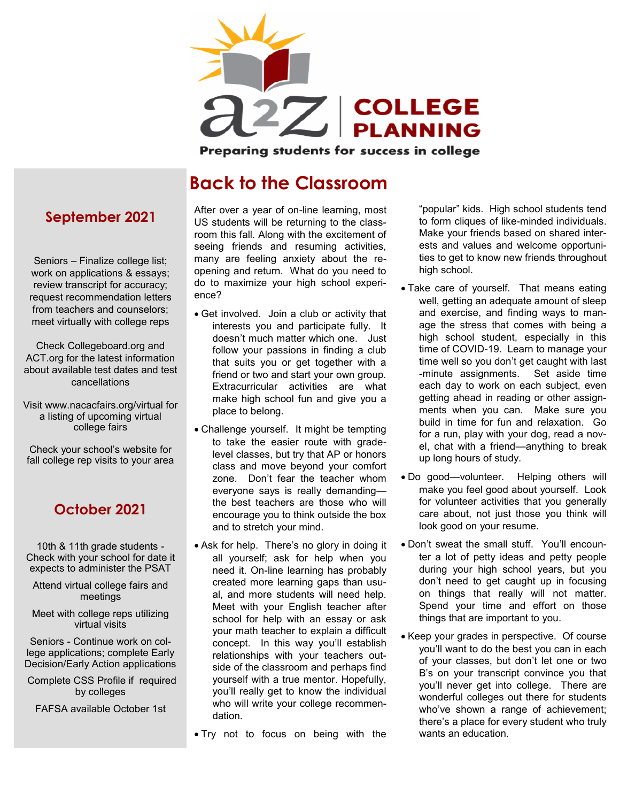

Preparing students for success in college

## **Back to the Classroom**

**September 2021**

Seniors – Finalize college list; work on applications & essays; review transcript for accuracy; request recommendation letters from teachers and counselors; meet virtually with college reps

Check Collegeboard.org and ACT.org for the latest information about available test dates and test cancellations

Visit www.nacacfairs.org/virtual for a listing of upcoming virtual college fairs

Check your school's website for fall college rep visits to your area

#### **October 2021**

10th & 11th grade students - Check with your school for date it expects to administer the PSAT

Attend virtual college fairs and meetings

Meet with college reps utilizing virtual visits

Seniors - Continue work on college applications; complete Early Decision/Early Action applications

Complete CSS Profile if required by colleges

FAFSA available October 1st

After over a year of on-line learning, most US students will be returning to the classroom this fall. Along with the excitement of seeing friends and resuming activities, many are feeling anxiety about the reopening and return. What do you need to do to maximize your high school experience?

- Get involved. Join a club or activity that interests you and participate fully. It doesn't much matter which one. Just follow your passions in finding a club that suits you or get together with a friend or two and start your own group. Extracurricular activities are what make high school fun and give you a place to belong.
- Challenge yourself. It might be tempting to take the easier route with gradelevel classes, but try that AP or honors class and move beyond your comfort zone. Don't fear the teacher whom everyone says is really demanding the best teachers are those who will encourage you to think outside the box and to stretch your mind.
- Ask for help. There's no glory in doing it all yourself; ask for help when you need it. On-line learning has probably created more learning gaps than usual, and more students will need help. Meet with your English teacher after school for help with an essay or ask your math teacher to explain a difficult concept. In this way you'll establish relationships with your teachers outside of the classroom and perhaps find yourself with a true mentor. Hopefully, you'll really get to know the individual who will write your college recommendation.
- Try not to focus on being with the

"popular" kids. High school students tend to form cliques of like-minded individuals. Make your friends based on shared interests and values and welcome opportunities to get to know new friends throughout high school.

- Take care of yourself. That means eating well, getting an adequate amount of sleep and exercise, and finding ways to manage the stress that comes with being a high school student, especially in this time of COVID-19. Learn to manage your time well so you don't get caught with last -minute assignments. Set aside time each day to work on each subject, even getting ahead in reading or other assignments when you can. Make sure you build in time for fun and relaxation. Go for a run, play with your dog, read a novel, chat with a friend—anything to break up long hours of study.
- Do good—volunteer. Helping others will make you feel good about yourself. Look for volunteer activities that you generally care about, not just those you think will look good on your resume.
- Don't sweat the small stuff. You'll encounter a lot of petty ideas and petty people during your high school years, but you don't need to get caught up in focusing on things that really will not matter. Spend your time and effort on those things that are important to you.
- Keep your grades in perspective. Of course you'll want to do the best you can in each of your classes, but don't let one or two B's on your transcript convince you that you'll never get into college. There are wonderful colleges out there for students who've shown a range of achievement; there's a place for every student who truly wants an education.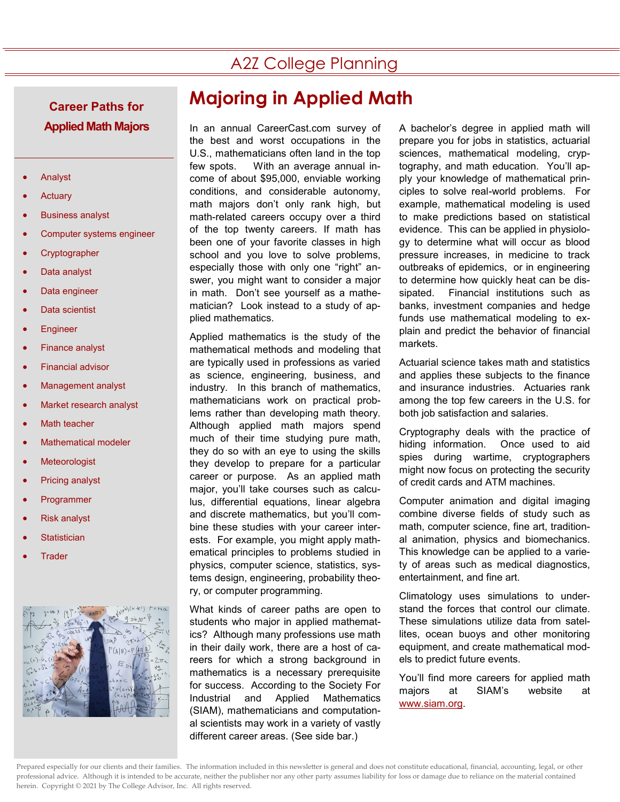## A2Z College Planning

# **Applied Math Majors**

- **Analyst**
- **Actuary**
- Business analyst
- Computer systems engineer
- **Cryptographer**
- Data analyst
- Data engineer
- Data scientist
- **Engineer**
- **Finance analyst**
- **Financial advisor**
- Management analyst
- Market research analyst
- **Math teacher**
- Mathematical modeler
- **Meteorologist**
- Pricing analyst
- **Programmer**
- **Risk analyst**
- **Statistician**
- **Trader**



## **Majoring in Applied Math Career Paths for**

In an annual CareerCast.com survey of the best and worst occupations in the U.S., mathematicians often land in the top few spots. With an average annual income of about \$95,000, enviable working conditions, and considerable autonomy, math majors don't only rank high, but math-related careers occupy over a third of the top twenty careers. If math has been one of your favorite classes in high school and you love to solve problems, especially those with only one "right" answer, you might want to consider a major in math. Don't see yourself as a mathematician? Look instead to a study of applied mathematics.

Applied mathematics is the study of the mathematical methods and modeling that are typically used in professions as varied as science, engineering, business, and industry. In this branch of mathematics, mathematicians work on practical problems rather than developing math theory. Although applied math majors spend much of their time studying pure math, they do so with an eye to using the skills they develop to prepare for a particular career or purpose. As an applied math major, you'll take courses such as calculus, differential equations, linear algebra and discrete mathematics, but you'll combine these studies with your career interests. For example, you might apply mathematical principles to problems studied in physics, computer science, statistics, systems design, engineering, probability theory, or computer programming.

What kinds of career paths are open to students who major in applied mathematics? Although many professions use math in their daily work, there are a host of careers for which a strong background in mathematics is a necessary prerequisite for success. According to the Society For Industrial and Applied Mathematics (SIAM), mathematicians and computational scientists may work in a variety of vastly different career areas. (See side bar.)

A bachelor's degree in applied math will prepare you for jobs in statistics, actuarial sciences, mathematical modeling, cryptography, and math education. You'll apply your knowledge of mathematical principles to solve real-world problems. For example, mathematical modeling is used to make predictions based on statistical evidence. This can be applied in physiology to determine what will occur as blood pressure increases, in medicine to track outbreaks of epidemics, or in engineering to determine how quickly heat can be dissipated. Financial institutions such as banks, investment companies and hedge funds use mathematical modeling to explain and predict the behavior of financial markets.

Actuarial science takes math and statistics and applies these subjects to the finance and insurance industries. Actuaries rank among the top few careers in the U.S. for both job satisfaction and salaries.

Cryptography deals with the practice of hiding information. Once used to aid spies during wartime, cryptographers might now focus on protecting the security of credit cards and ATM machines.

Computer animation and digital imaging combine diverse fields of study such as math, computer science, fine art, traditional animation, physics and biomechanics. This knowledge can be applied to a variety of areas such as medical diagnostics, entertainment, and fine art.

Climatology uses simulations to understand the forces that control our climate. These simulations utilize data from satellites, ocean buoys and other monitoring equipment, and create mathematical models to predict future events.

You'll find more careers for applied math majors at SIAM's website at [www.siam.org.](http://www.siam.org/)

Prepared especially for our clients and their families. The information included in this newsletter is general and does not constitute educational, financial, accounting, legal, or other professional advice. Although it is intended to be accurate, neither the publisher nor any other party assumes liability for loss or damage due to reliance on the material contained herein. Copyright © 2021 by The College Advisor, Inc. All rights reserved.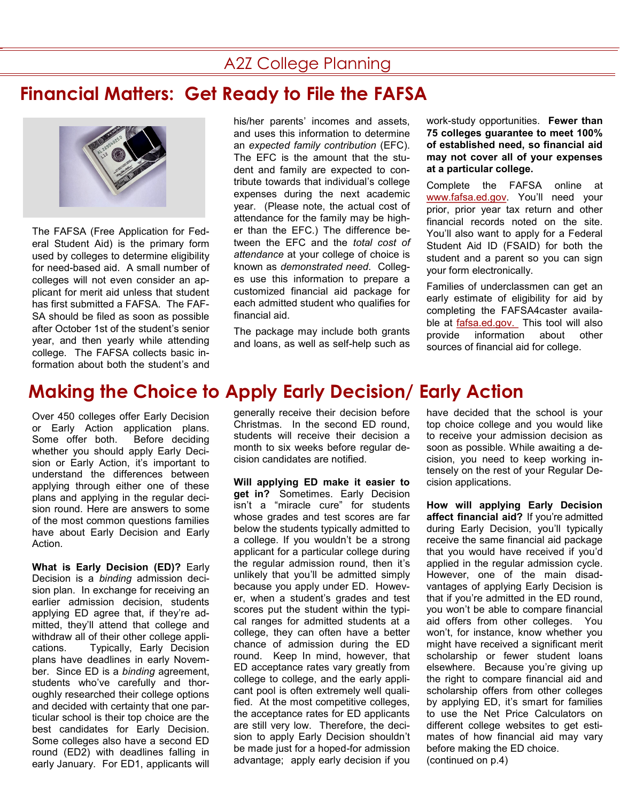#### A2Z College Planning

### **Financial Matters: Get Ready to File the FAFSA**



The FAFSA (Free Application for Federal Student Aid) is the primary form used by colleges to determine eligibility for need-based aid. A small number of colleges will not even consider an applicant for merit aid unless that student has first submitted a FAFSA. The FAF-SA should be filed as soon as possible after October 1st of the student's senior year, and then yearly while attending college. The FAFSA collects basic information about both the student's and

his/her parents' incomes and assets, and uses this information to determine an *expected family contribution* (EFC). The EFC is the amount that the student and family are expected to contribute towards that individual's college expenses during the next academic year. (Please note, the actual cost of attendance for the family may be higher than the EFC.) The difference between the EFC and the *total cost of attendance* at your college of choice is known as *demonstrated need*. Colleges use this information to prepare a customized financial aid package for each admitted student who qualifies for financial aid.

The package may include both grants and loans, as well as self-help such as work-study opportunities. **Fewer than 75 colleges guarantee to meet 100% of established need, so financial aid may not cover all of your expenses at a particular college.**

Complete the FAFSA online at [www.fafsa.ed.gov.](http://www.fafsa.ed.gov/) You'll need your prior, prior year tax return and other financial records noted on the site. You'll also want to apply for a Federal Student Aid ID (FSAID) for both the student and a parent so you can sign your form electronically.

Families of underclassmen can get an early estimate of eligibility for aid by completing the FAFSA4caster available at [fafsa.ed.gov.](https://fafsa.ed.gov/spa/fafsa4c/#/landing) This tool will also provide information about other sources of financial aid for college.

## **Making the Choice to Apply Early Decision/ Early Action**

Over 450 colleges offer Early Decision or Early Action application plans. Some offer both. Before deciding whether you should apply Early Decision or Early Action, it's important to understand the differences between applying through either one of these plans and applying in the regular decision round. Here are answers to some of the most common questions families have about Early Decision and Early Action.

**What is Early Decision (ED)?** Early Decision is a *binding* admission decision plan. In exchange for receiving an earlier admission decision, students applying ED agree that, if they're admitted, they'll attend that college and withdraw all of their other college applications. Typically, Early Decision plans have deadlines in early November. Since ED is a *binding* agreement, students who've carefully and thoroughly researched their college options and decided with certainty that one particular school is their top choice are the best candidates for Early Decision. Some colleges also have a second ED round (ED2) with deadlines falling in early January. For ED1, applicants will generally receive their decision before Christmas. In the second ED round, students will receive their decision a month to six weeks before regular decision candidates are notified.

**Will applying ED make it easier to get in?** Sometimes. Early Decision isn't a "miracle cure" for students whose grades and test scores are far below the students typically admitted to a college. If you wouldn't be a strong applicant for a particular college during the regular admission round, then it's unlikely that you'll be admitted simply because you apply under ED. However, when a student's grades and test scores put the student within the typical ranges for admitted students at a college, they can often have a better chance of admission during the ED round. Keep In mind, however, that ED acceptance rates vary greatly from college to college, and the early applicant pool is often extremely well qualified. At the most competitive colleges, the acceptance rates for ED applicants are still very low. Therefore, the decision to apply Early Decision shouldn't be made just for a hoped-for admission advantage; apply early decision if you

have decided that the school is your top choice college and you would like to receive your admission decision as soon as possible. While awaiting a decision, you need to keep working intensely on the rest of your Regular Decision applications.

**How will applying Early Decision affect financial aid?** If you're admitted during Early Decision, you'll typically receive the same financial aid package that you would have received if you'd applied in the regular admission cycle. However, one of the main disadvantages of applying Early Decision is that if you're admitted in the ED round, you won't be able to compare financial aid offers from other colleges. You won't, for instance, know whether you might have received a significant merit scholarship or fewer student loans elsewhere. Because you're giving up the right to compare financial aid and scholarship offers from other colleges by applying ED, it's smart for families to use the Net Price Calculators on different college websites to get estimates of how financial aid may vary before making the ED choice. (continued on p.4)